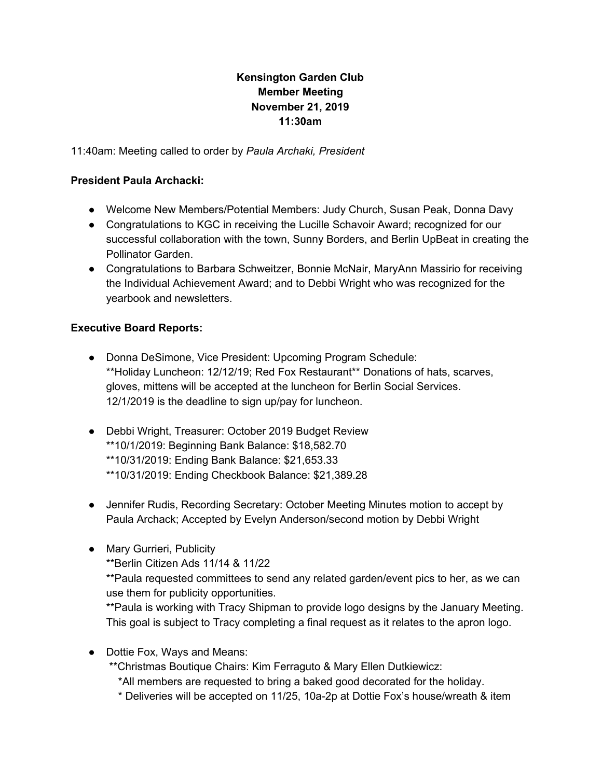# **Kensington Garden Club Member Meeting November 21, 2019 11:30am**

11:40am: Meeting called to order by *Paula Archaki, President*

#### **President Paula Archacki:**

- Welcome New Members/Potential Members: Judy Church, Susan Peak, Donna Davy
- Congratulations to KGC in receiving the Lucille Schavoir Award; recognized for our successful collaboration with the town, Sunny Borders, and Berlin UpBeat in creating the Pollinator Garden.
- Congratulations to Barbara Schweitzer, Bonnie McNair, MaryAnn Massirio for receiving the Individual Achievement Award; and to Debbi Wright who was recognized for the yearbook and newsletters.

### **Executive Board Reports:**

- Donna DeSimone, Vice President: Upcoming Program Schedule: \*\*Holiday Luncheon: 12/12/19; Red Fox Restaurant\*\* Donations of hats, scarves, gloves, mittens will be accepted at the luncheon for Berlin Social Services. 12/1/2019 is the deadline to sign up/pay for luncheon.
- Debbi Wright, Treasurer: October 2019 Budget Review \*\*10/1/2019: Beginning Bank Balance: \$18,582.70 \*\*10/31/2019: Ending Bank Balance: \$21,653.33 \*\*10/31/2019: Ending Checkbook Balance: \$21,389.28
- Jennifer Rudis, Recording Secretary: October Meeting Minutes motion to accept by Paula Archack; Accepted by Evelyn Anderson/second motion by Debbi Wright
- Mary Gurrieri, Publicity
	- \*\*Berlin Citizen Ads 11/14 & 11/22

\*\*Paula requested committees to send any related garden/event pics to her, as we can use them for publicity opportunities.

\*\*Paula is working with Tracy Shipman to provide logo designs by the January Meeting. This goal is subject to Tracy completing a final request as it relates to the apron logo.

- Dottie Fox, Ways and Means:
	- \*\*Christmas Boutique Chairs: Kim Ferraguto & Mary Ellen Dutkiewicz:
		- \*All members are requested to bring a baked good decorated for the holiday.
		- \* Deliveries will be accepted on 11/25, 10a-2p at Dottie Fox's house/wreath & item